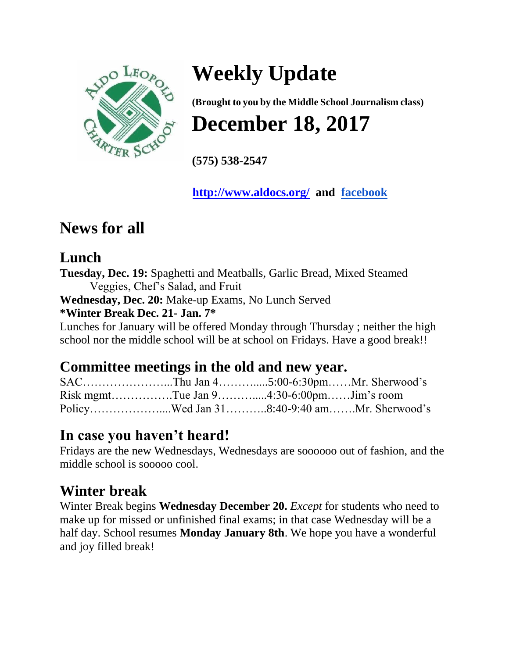

# **Weekly Update**

**(Brought to you by the Middle School Journalism class) December 18, 2017** 

**(575) 538-2547**

**<http://www.aldocs.org/> and [facebook](https://www.facebook.com/aldoleopoldhs/)**

### **News for all**

#### **Lunch**

**Tuesday, Dec. 19:** Spaghetti and Meatballs, Garlic Bread, Mixed Steamed Veggies, Chef's Salad, and Fruit **Wednesday, Dec. 20:** Make-up Exams, No Lunch Served **\*Winter Break Dec. 21- Jan. 7\*** Lunches for January will be offered Monday through Thursday ; neither the high school nor the middle school will be at school on Fridays. Have a good break!!

### **Committee meetings in the old and new year.**

|  | Risk mgmtTue Jan 94:30-6:00pmJim's room    |  |
|--|--------------------------------------------|--|
|  | PolicyWed Jan 318:40-9:40 amMr. Sherwood's |  |

### **In case you haven't heard!**

Fridays are the new Wednesdays, Wednesdays are soooooo out of fashion, and the middle school is sooooo cool.

### **Winter break**

Winter Break begins **Wednesday December 20.** *Except* for students who need to make up for missed or unfinished final exams; in that case Wednesday will be a half day. School resumes **Monday January 8th**. We hope you have a wonderful and joy filled break!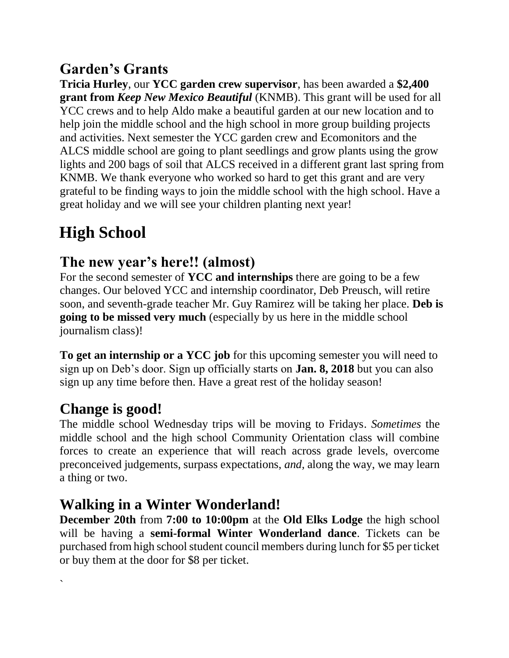### **Garden's Grants**

**Tricia Hurley**, our **YCC garden crew supervisor**, has been awarded a **\$2,400 grant from** *Keep New Mexico Beautiful* (KNMB). This grant will be used for all YCC crews and to help Aldo make a beautiful garden at our new location and to help join the middle school and the high school in more group building projects and activities. Next semester the YCC garden crew and Ecomonitors and the ALCS middle school are going to plant seedlings and grow plants using the grow lights and 200 bags of soil that ALCS received in a different grant last spring from KNMB. We thank everyone who worked so hard to get this grant and are very grateful to be finding ways to join the middle school with the high school. Have a great holiday and we will see your children planting next year!

### **High School**

### **The new year's here!! (almost)**

For the second semester of **YCC and internships** there are going to be a few changes. Our beloved YCC and internship coordinator, Deb Preusch, will retire soon, and seventh-grade teacher Mr. Guy Ramirez will be taking her place. **Deb is going to be missed very much** (especially by us here in the middle school journalism class)!

**To get an internship or a YCC job** for this upcoming semester you will need to sign up on Deb's door. Sign up officially starts on **Jan. 8, 2018** but you can also sign up any time before then. Have a great rest of the holiday season!

### **Change is good!**

`

The middle school Wednesday trips will be moving to Fridays. *Sometimes* the middle school and the high school Community Orientation class will combine forces to create an experience that will reach across grade levels, overcome preconceived judgements, surpass expectations, *and,* along the way, we may learn a thing or two.

### **Walking in a Winter Wonderland!**

**December 20th** from **7:00 to 10:00pm** at the **Old Elks Lodge** the high school will be having a **semi-formal Winter Wonderland dance**. Tickets can be purchased from high school student council members during lunch for \$5 per ticket or buy them at the door for \$8 per ticket.